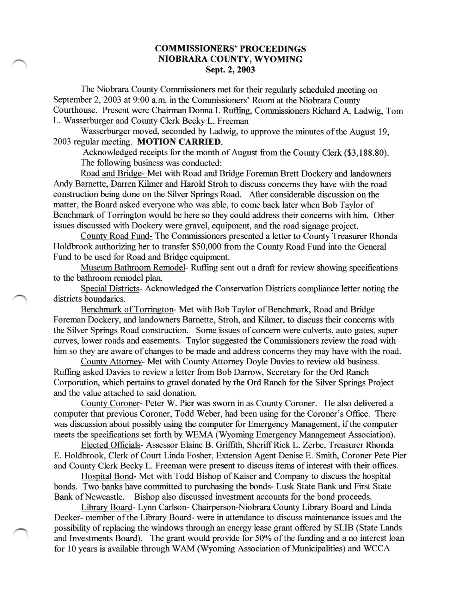## COMMISSIONERS' PROCEEDINGS NIOBRARA COUNTY, WYOMING Sept. 2, 2003

The Niobrara County Commissioners met for their regularly scheduled meeting on September 2, 2003 at 9:00 a.m. in the Commissioners' Room at the Niobrara County Courthouse. Present were Chairman Donna I. Ruffng, Commissioners Richard A. Ladwig, Tom L. Wasserburger and County Clerk Becky L. Freeman

Wasserburger moved, seconded by Ladwig, to approve the minutes of the August 19. 2003 regular meeting. MOTION CARRIED.

Acknowledged receipts for the month of August from the County Clerk (\$3,188.80). The following business was conducted:

Road and Bridge- Met with Road and Bridge Foreman Brett Dockery and landowners Andy Bamette, Darren Kilmer and Harold Stroh to discuss concerns they have with the road construction being done on the Silver Springs Road. After considerable discussion on the matter, the Board asked everyone who was able, to come back later when Bob Taylor of Benchmark of Torrington would be here so they could address their concems with him. Other issues discussed with Dockery were gravel, equipment, and the road signage project.

County Road Fund- The Commissioners presented a letter to County Treasurer Rhonda Holdbrook authorizing her to transfer \$50,000 from the County Road Fund into the General Fund to be used for Road and Bridge equipment.

Museum Bathroom Remodel- Ruffing sent out a draft for review showing specifications to the bathroom remodel plan.

Special Districts- Acknowledged the Conservation Districts compliance letter noting the districts boundaries.

Benchmark of Torrington- Met with Bob Taylor of Benchmark, Road and Bridge Foreman Dockery, and landowners Barnette, Stroh, and Kilmer, to discuss their concerns with the Silver Springs Road construction. Some issues of concern were culverts, auto gates, super curves, lower roads and easements. Taylor suggested the Commissioners review the road with him so they are aware of changes to be made and address concerns they may have with the road.

County Attorney- Met with County Attorney Doyle Davies to review old business. Ruffing asked Davies to review a letter from Bob Darrow, Secretary for the Ord Ranch Corporation, which pertains to gravel donated by the Ord Ranch for the Silver Springs Project and the value attached to said donation.

County Coroner- Peter W. Pier was swom in as County Coroner. He also delivered a computer that previous Coroner, Todd Weber, had been using for the Coroner's Office. There was discussion about possibly using the computer for Emergency Management, if the computer meets the specifications set forth by WEMA (Wyoming Emergency Management Association).

Elected Officials- Assessor Elaine B. Griffith, Sheriff Rick L. Zerbe, Treasurer Rhonda E. Holdbrook, Clerk of Court Linda Fosher, Extersion Agent Denise E. Smith, Coroner Pete Pier and County Clerk Becky L. Freeman were present to discuss items of interest with their offices.

Hospital Bond- Met with Todd Bishop of Kaiser and Company to discuss the hospital bonds. Two banks have committed to purchasing the bonds- Lusk State Bank and First State Bank of Newcastle. Bishop also discussed investment accounts for the bond proceeds.

Library Board- Lynn Carlson- Chairperson-Niobrara County Library Board and Linda Decker- member of the Library Board- were in attendance to discuss maintenance issues and the possibility of replacing the windows through an energy lease grant offered by SLIB (State Lands and Investments Board). The grant would provide for 50% of the funding and a no interest loan for 10 years is available through WAM (Wyoming Association of Municipalities) and WCCA